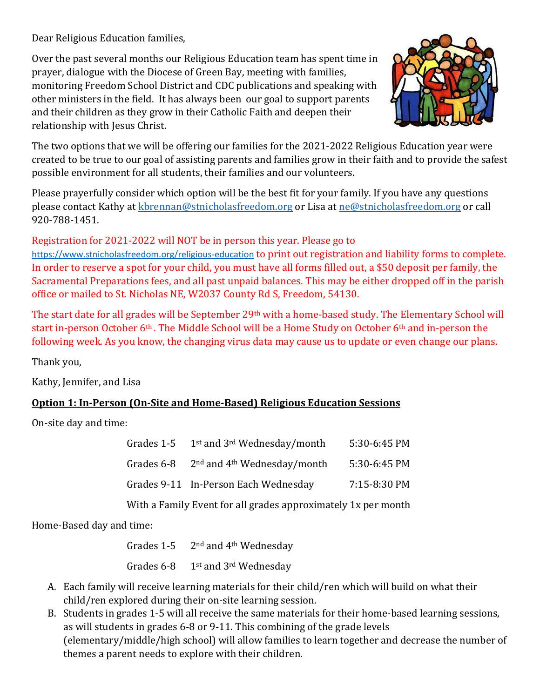Dear Religious Education families,

Over the past several months our Religious Education team has spent time in prayer, dialogue with the Diocese of Green Bay, meeting with families, monitoring Freedom School District and CDC publications and speaking with other ministers in the field. It has always been our goal to support parents and their children as they grow in their Catholic Faith and deepen their relationship with Jesus Christ.



The two options that we will be offering our families for the 2021-2022 Religious Education year were created to be true to our goal of assisting parents and families grow in their faith and to provide the safest possible environment for all students, their families and our volunteers.

Please prayerfully consider which option will be the best fit for your family. If you have any questions please contact Kathy at [kbrennan@stnicholasfreedom.org](mailto:kbrennan@stnicholasfreedom.org) or Lisa a[t ne@stnicholasfreedom.org](mailto:ne@stnicholasfreedom.org) or call 920-788-1451.

## Registration for 2021-2022 will NOT be in person this year. Please go to

<https://www.stnicholasfreedom.org/religious-education> to print out registration and liability forms to complete. In order to reserve a spot for your child, you must have all forms filled out, a \$50 deposit per family, the Sacramental Preparations fees, and all past unpaid balances. This may be either dropped off in the parish office or mailed to St. Nicholas NE, W2037 County Rd S, Freedom, 54130.

The start date for all grades will be September 29th with a home-based study. The Elementary School will start in-person October 6<sup>th</sup>. The Middle School will be a Home Study on October 6<sup>th</sup> and in-person the following week. As you know, the changing virus data may cause us to update or even change our plans.

Thank you,

Kathy, Jennifer, and Lisa

## **Option 1: In-Person (On-Site and Home-Based) Religious Education Sessions**

On-site day and time:

| Grades 1-5 | 1 <sup>st</sup> and 3 <sup>rd</sup> Wednesday/month    | 5:30-6:45 PM |
|------------|--------------------------------------------------------|--------------|
|            | Grades $6-8$ 2 <sup>nd</sup> and $4th$ Wednesday/month | 5:30-6:45 PM |
|            | Grades 9-11 In-Person Each Wednesday                   | 7:15-8:30 PM |
|            |                                                        |              |

With a Family Event for all grades approximately 1x per month

Home-Based day and time:

Grades  $1-5$  2<sup>nd</sup> and  $4<sup>th</sup>$  Wednesday Grades 6-8 1st and 3rd Wednesday

- A. Each family will receive learning materials for their child/ren which will build on what their child/ren explored during their on-site learning session.
- B. Students in grades 1-5 will all receive the same materials for their home-based learning sessions, as will students in grades 6-8 or 9-11. This combining of the grade levels (elementary/middle/high school) will allow families to learn together and decrease the number of themes a parent needs to explore with their children.